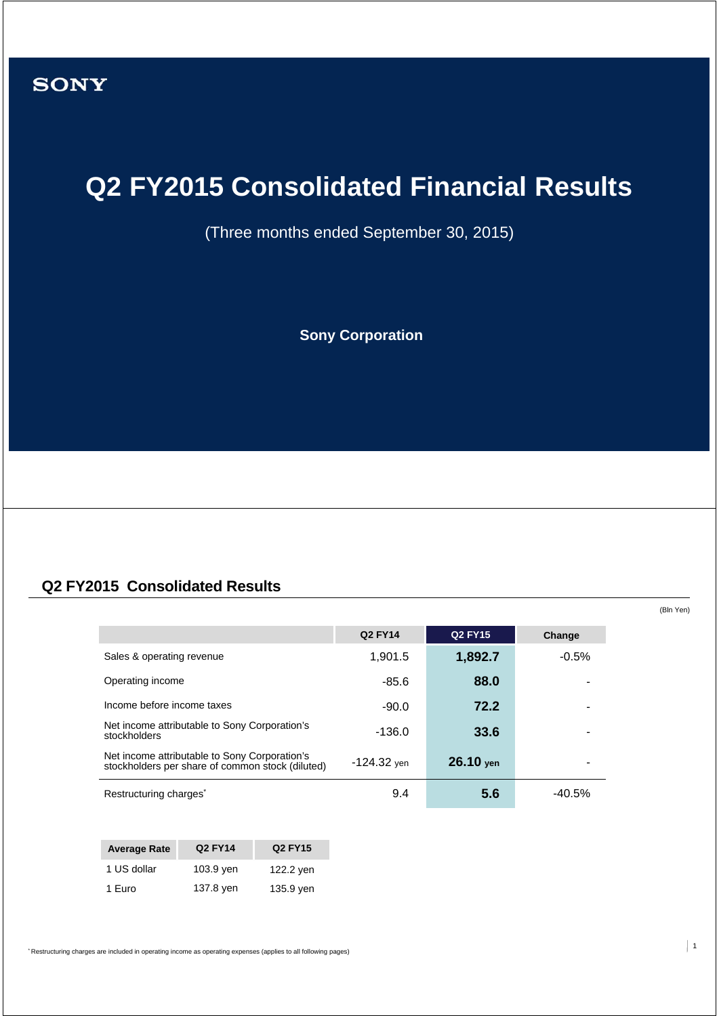# **Q2 FY2015 Consolidated Financial Results**

(Three months ended September 30, 2015)

**Sony Corporation**

### **Q2 FY2015 Consolidated Results**

**Q2 FY14 Q2 FY15 Change** Sales & operating revenue **1,901.5 1,892.7** -0.5% Operating income **88.0** -85.6 **88.0** Income before income taxes **190.0** -90.0 **72.2** Net income attributable to Sony Corporation's stockholders -136.0 **33.6** - Net income attributable to Sony Corporation's Net income attributable to Sony Corporation stock (diluted)  $-124.32$  yen **26.10** yen Restructuring charges<sup>\*</sup> **6.6** -40.5%

| <b>Average Rate</b> | Q2 FY14   | Q <sub>2</sub> FY <sub>15</sub> |
|---------------------|-----------|---------------------------------|
| 1 US dollar         | 103.9 yen | 122.2 yen                       |
| 1 Euro              | 137.8 yen | 135.9 yen                       |

\* Restructuring charges are included in operating income as operating expenses (applies to all following pages)

(Bln Yen)

 $\vert$  1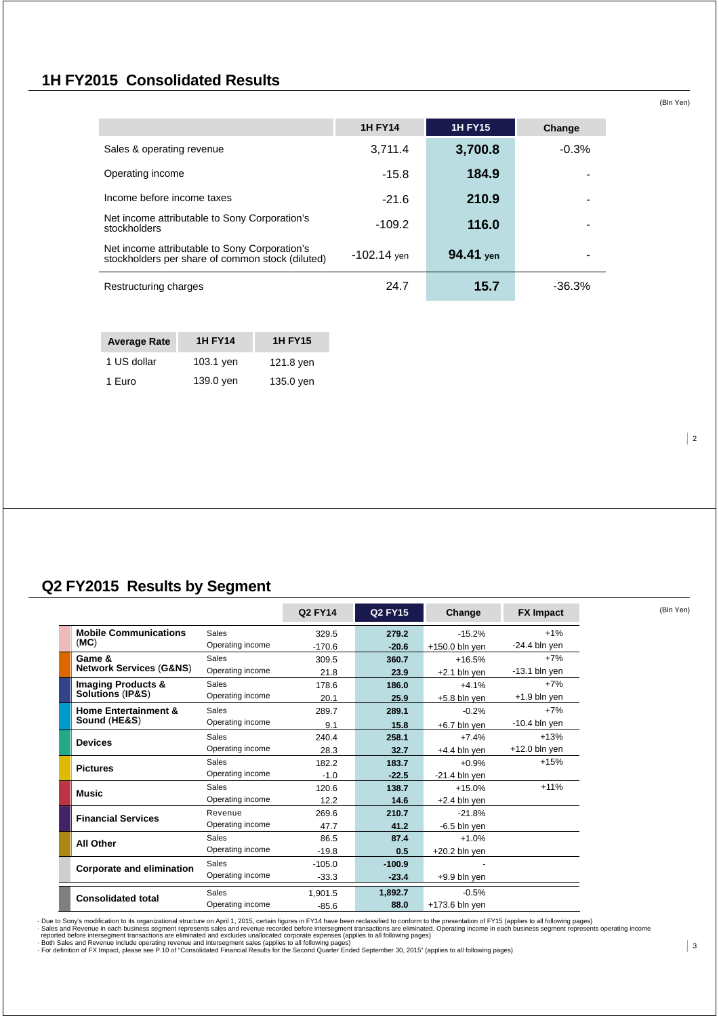### **1H FY2015 Consolidated Results**

|                                                                                                   | <b>1H FY14</b> | <b>1H FY15</b> | Change  |
|---------------------------------------------------------------------------------------------------|----------------|----------------|---------|
| Sales & operating revenue                                                                         | 3,711.4        | 3,700.8        | $-0.3%$ |
| Operating income                                                                                  | $-15.8$        | 184.9          |         |
| Income before income taxes                                                                        | $-21.6$        | 210.9          |         |
| Net income attributable to Sony Corporation's<br>stockholders                                     | $-109.2$       | 116.0          |         |
| Net income attributable to Sony Corporation's<br>stockholders per share of common stock (diluted) | $-102.14$ yen  | 94.41 yen      |         |
| Restructuring charges                                                                             | 24.7           | 15.7           | -36.3%  |

| <b>Average Rate</b> | <b>1H FY14</b> | <b>1H FY15</b> |
|---------------------|----------------|----------------|
| 1 US dollar         | 103.1 yen      | 121.8 yen      |
| 1 Euro              | 139.0 yen      | 135.0 yen      |

### **Q2 FY2015 Results by Segment**

|                                    |                  | Q2 FY14  | <b>Q2 FY15</b> | Change           | <b>FX Impact</b> |
|------------------------------------|------------------|----------|----------------|------------------|------------------|
| <b>Mobile Communications</b>       | <b>Sales</b>     | 329.5    | 279.2          | $-15.2%$         | $+1%$            |
| (MC)                               | Operating income | $-170.6$ | $-20.6$        | $+150.0$ bln yen | $-24.4$ bln yen  |
| Game &                             | Sales            | 309.5    | 360.7          | $+16.5%$         | $+7%$            |
| <b>Network Services (G&amp;NS)</b> | Operating income | 21.8     | 23.9           | $+2.1$ bln yen   | $-13.1$ bln yen  |
| <b>Imaging Products &amp;</b>      | Sales            | 178.6    | 186.0          | $+4.1%$          | $+7%$            |
| <b>Solutions (IP&amp;S)</b>        | Operating income | 20.1     | 25.9           | $+5.8$ bln yen   | $+1.9$ bln yen   |
| <b>Home Entertainment &amp;</b>    | <b>Sales</b>     | 289.7    | 289.1          | $-0.2%$          | $+7%$            |
| Sound (HE&S)                       | Operating income | 9.1      | 15.8           | +6.7 bln yen     | $-10.4$ bln yen  |
|                                    | <b>Sales</b>     | 240.4    | 258.1          | $+7.4%$          | $+13%$           |
| <b>Devices</b>                     | Operating income | 28.3     | 32.7           | $+4.4$ bln yen   | $+12.0$ bln yen  |
| <b>Pictures</b>                    | <b>Sales</b>     | 182.2    | 183.7          | $+0.9%$          | $+15%$           |
|                                    | Operating income | $-1.0$   | $-22.5$        | $-21.4$ bln yen  |                  |
| <b>Music</b>                       | <b>Sales</b>     | 120.6    | 138.7          | $+15.0%$         | $+11%$           |
|                                    | Operating income | 12.2     | 14.6           | $+2.4$ bln yen   |                  |
| <b>Financial Services</b>          | Revenue          | 269.6    | 210.7          | $-21.8%$         |                  |
|                                    | Operating income | 47.7     | 41.2           | $-6.5$ bln yen   |                  |
| <b>All Other</b>                   | <b>Sales</b>     | 86.5     | 87.4           | $+1.0%$          |                  |
|                                    | Operating income | $-19.8$  | 0.5            | $+20.2$ bln yen  |                  |
| Corporate and elimination          | <b>Sales</b>     | $-105.0$ | $-100.9$       |                  |                  |
|                                    | Operating income | $-33.3$  | $-23.4$        | $+9.9$ bln yen   |                  |
|                                    | <b>Sales</b>     | 1.901.5  | 1,892.7        | $-0.5%$          |                  |
| <b>Consolidated total</b>          | Operating income | $-85.6$  | 88.0           | $+173.6$ bln yen |                  |

- Due to Sony's modification to its organizational structure on April 1, 2015, certain figures in FY14 have been reclassified to conform to the presentation of FY15 (applies to all following pages)<br>- Sales and Revenue in e

 $\vert$  2

(Bln Yen)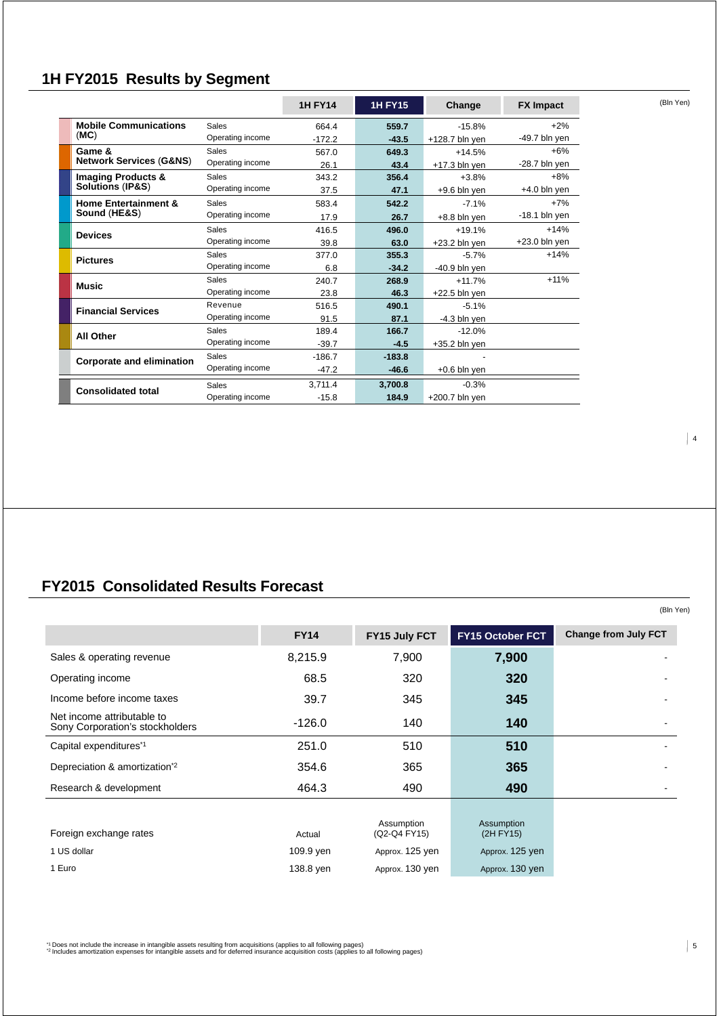# **1H FY2015 Results by Segment**

|                                    |                  | <b>1H FY14</b> | <b>1H FY15</b> | Change           | <b>FX Impact</b> |
|------------------------------------|------------------|----------------|----------------|------------------|------------------|
| <b>Mobile Communications</b>       | <b>Sales</b>     | 664.4          | 559.7          | $-15.8%$         | $+2%$            |
| (MC)                               | Operating income | $-172.2$       | $-43.5$        | $+128.7$ bln yen | -49.7 bln yen    |
| Game &                             | Sales            | 567.0          | 649.3          | $+14.5%$         | $+6%$            |
| <b>Network Services (G&amp;NS)</b> | Operating income | 26.1           | 43.4           | $+17.3$ bln yen  | $-28.7$ bln yen  |
| <b>Imaging Products &amp;</b>      | <b>Sales</b>     | 343.2          | 356.4          | $+3.8%$          | $+8%$            |
| Solutions (IP&S)                   | Operating income | 37.5           | 47.1           | $+9.6$ bln yen   | $+4.0$ bln yen   |
| <b>Home Entertainment &amp;</b>    | Sales            | 583.4          | 542.2          | $-7.1%$          | $+7%$            |
| Sound (HE&S)                       | Operating income | 17.9           | 26.7           | +8.8 bln yen     | $-18.1$ bln yen  |
| <b>Devices</b>                     | <b>Sales</b>     | 416.5          | 496.0          | $+19.1%$         | $+14%$           |
|                                    | Operating income | 39.8           | 63.0           | $+23.2$ bln yen  | $+23.0$ bln yen  |
| <b>Pictures</b>                    | <b>Sales</b>     | 377.0          | 355.3          | $-5.7%$          | $+14%$           |
|                                    | Operating income | 6.8            | $-34.2$        | $-40.9$ bln yen  |                  |
| <b>Music</b>                       | <b>Sales</b>     | 240.7          | 268.9          | $+11.7%$         | $+11%$           |
|                                    | Operating income | 23.8           | 46.3           | $+22.5$ bln yen  |                  |
| <b>Financial Services</b>          | Revenue          | 516.5          | 490.1          | $-5.1%$          |                  |
|                                    | Operating income | 91.5           | 87.1           | $-4.3$ bln yen   |                  |
| <b>All Other</b>                   | <b>Sales</b>     | 189.4          | 166.7          | $-12.0%$         |                  |
|                                    | Operating income | $-39.7$        | $-4.5$         | $+35.2$ bln yen  |                  |
| <b>Corporate and elimination</b>   | <b>Sales</b>     | $-186.7$       | $-183.8$       |                  |                  |
|                                    | Operating income | $-47.2$        | $-46.6$        | $+0.6$ bln yen   |                  |
|                                    | <b>Sales</b>     | 3.711.4        | 3.700.8        | $-0.3%$          |                  |
| <b>Consolidated total</b>          | Operating income | $-15.8$        | 184.9          | $+200.7$ bln yen |                  |

# **FY2015 Consolidated Results Forecast**

|                                                               |             |                 |                  | (Bln Yen)                   |
|---------------------------------------------------------------|-------------|-----------------|------------------|-----------------------------|
|                                                               | <b>FY14</b> | FY15 July FCT   | FY15 October FCT | <b>Change from July FCT</b> |
| Sales & operating revenue                                     | 8,215.9     | 7,900           | 7,900            |                             |
| Operating income                                              | 68.5        | 320             | 320              |                             |
| Income before income taxes                                    | 39.7        | 345             | 345              |                             |
| Net income attributable to<br>Sony Corporation's stockholders | $-126.0$    | 140             | 140              |                             |
| Capital expenditures <sup>*1</sup>                            | 251.0       | 510             | 510              |                             |
| Depreciation & amortization <sup>*2</sup>                     | 354.6       | 365             | 365              |                             |
| Research & development                                        | 464.3       | 490             | 490              |                             |
|                                                               |             | Assumption      | Assumption       |                             |
| Foreign exchange rates                                        | Actual      | (Q2-Q4 FY15)    | (2H FY15)        |                             |
| 1 US dollar                                                   | 109.9 yen   | Approx. 125 yen | Approx. 125 yen  |                             |
| 1 Euro                                                        | 138.8 yen   | Approx. 130 yen | Approx. 130 yen  |                             |

" Does not include the increase in intangible assets resulting from acquisitions (applies to all following pages)<br>"<sup>2</sup> Includes amortization expenses for intangible assets and for deferred insurance acquisition costs (appl

4

 $\vert 5$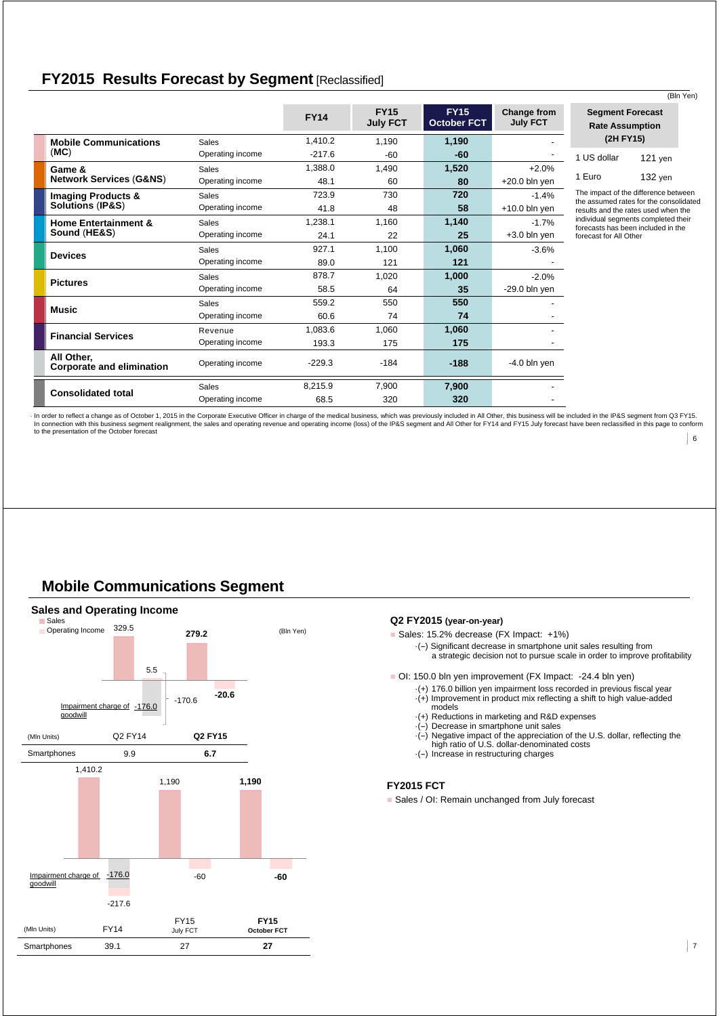### **FY2015 Results Forecast by Segment** [Reclassified]

|                                                |                  |             |                                |                                   |                                |                                                                                                     | (Bln Yen)                                                                      |
|------------------------------------------------|------------------|-------------|--------------------------------|-----------------------------------|--------------------------------|-----------------------------------------------------------------------------------------------------|--------------------------------------------------------------------------------|
|                                                |                  | <b>FY14</b> | <b>FY15</b><br><b>July FCT</b> | <b>FY15</b><br><b>October FCT</b> | Change from<br><b>July FCT</b> | <b>Segment Forecast</b><br><b>Rate Assumption</b>                                                   |                                                                                |
| <b>Mobile Communications</b>                   | Sales            | 1,410.2     | 1,190                          | 1,190                             |                                | (2H FY15)                                                                                           |                                                                                |
| (MC)                                           | Operating income | $-217.6$    | $-60$                          | $-60$                             |                                | 1 US dollar                                                                                         | $121$ yen                                                                      |
| Game &                                         | Sales            | 1,388.0     | 1.490                          | 1,520                             | $+2.0%$                        |                                                                                                     |                                                                                |
| <b>Network Services (G&amp;NS)</b>             | Operating income | 48.1        | 60                             | 80                                | $+20.0$ bln yen                | 1 Euro                                                                                              | $132$ yen                                                                      |
| <b>Imaging Products &amp;</b>                  | Sales            | 723.9       | 730                            | 720                               | $-1.4%$                        |                                                                                                     | The impact of the difference between<br>the assumed rates for the consolidated |
| Solutions (IP&S)                               | Operating income | 41.8        | 48                             | 58                                | $+10.0$ bln yen                |                                                                                                     | results and the rates used when the                                            |
| <b>Home Entertainment &amp;</b>                | Sales            | 1,238.1     | 1.160                          | 1,140                             | $-1.7%$                        | individual segments completed their<br>forecasts has been included in the<br>forecast for All Other |                                                                                |
| Sound (HE&S)                                   | Operating income | 24.1        | 22                             | 25                                | $+3.0$ bln yen                 |                                                                                                     |                                                                                |
| <b>Devices</b>                                 | <b>Sales</b>     | 927.1       | 1,100                          | 1,060                             | $-3.6%$                        |                                                                                                     |                                                                                |
|                                                | Operating income | 89.0        | 121                            | 121                               |                                |                                                                                                     |                                                                                |
| <b>Pictures</b>                                | <b>Sales</b>     | 878.7       | 1,020                          | 1,000                             | $-2.0%$                        |                                                                                                     |                                                                                |
|                                                | Operating income | 58.5        | 64                             | 35                                | $-29.0$ bln yen                |                                                                                                     |                                                                                |
| <b>Music</b>                                   | <b>Sales</b>     | 559.2       | 550                            | 550                               |                                |                                                                                                     |                                                                                |
|                                                | Operating income | 60.6        | 74                             | 74                                |                                |                                                                                                     |                                                                                |
| <b>Financial Services</b>                      | Revenue          | 1.083.6     | 1.060                          | 1,060                             |                                |                                                                                                     |                                                                                |
|                                                | Operating income | 193.3       | 175                            | 175                               |                                |                                                                                                     |                                                                                |
| All Other.<br><b>Corporate and elimination</b> | Operating income | $-229.3$    | $-184$                         | $-188$                            | $-4.0$ bln yen                 |                                                                                                     |                                                                                |
|                                                | <b>Sales</b>     | 8.215.9     | 7,900                          | 7,900                             |                                |                                                                                                     |                                                                                |
| <b>Consolidated total</b>                      | Operating income | 68.5        | 320                            | 320                               |                                |                                                                                                     |                                                                                |

 $6$ In order to reflect a change as of October 1, 2015 in the Corporate Executive Officer in charge of the medical business, which was previously included in All Other, this business will be included in the IP&S segment from Q to the presentation of the October forecast

### **Mobile Communications Segment**



### **Q2 FY2015 (year-on-year)**

Sales: 15.2% decrease (FX Impact: +1%)

·(--) Significant decrease in smartphone unit sales resulting from a strategic decision not to pursue scale in order to improve profitability

OI: 150.0 bln yen improvement (FX Impact: - 24.4 bln yen)

- ·(+) 176.0 billion yen impairment loss recorded in previous fiscal year ·(+) Improvement in product mix reflecting a shift to high value-added
- models
- ·(+) Reductions in marketing and R&D expenses
- ·(--) Decrease in smartphone unit sales ·(--) Negative impact of the appreciation of the U.S. dollar, reflecting the
- high ratio of U.S. dollar-denominated costs
- ·(--) Increase in restructuring charges

#### **FY2015 FCT**

Sales / OI: Remain unchanged from July forecast

 $\vert$  7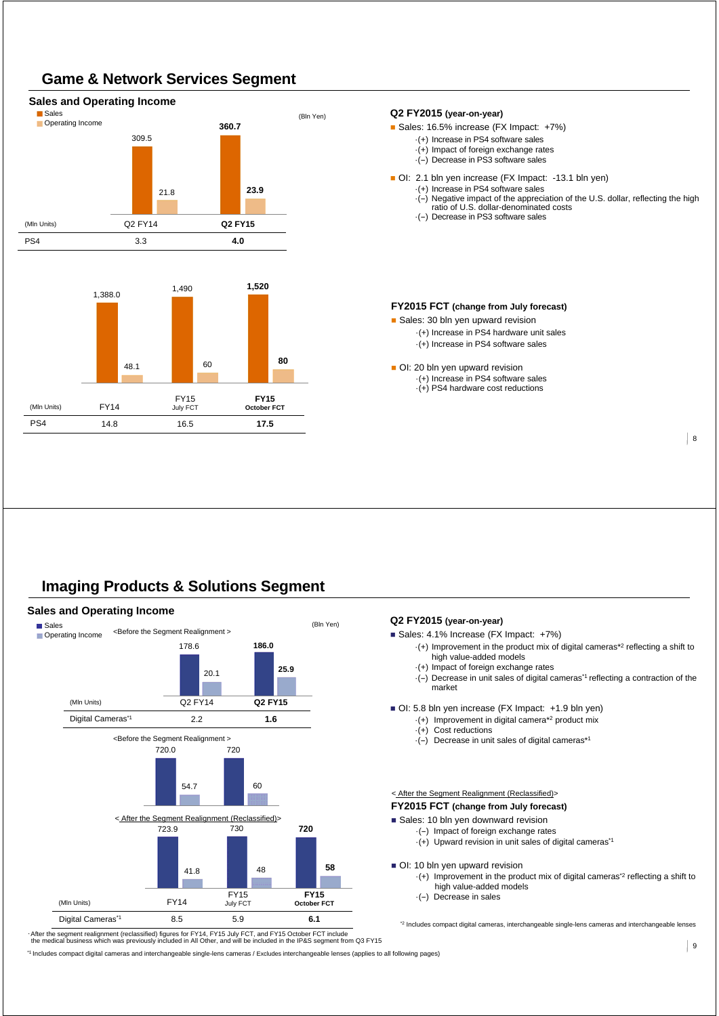# **Game & Network Services Segment**



### **Imaging Products & Solutions Segment**



-After the segment realignment (reclassified) figures for FY14, FY15 July FCT, and FY15 October FCT include<br>the medical business which was previously included in All Other, and will be included in the IP&S segment from Q3

\*1 Includes compact digital cameras and interchangeable single-lens cameras / Excludes interchangeable lenses (applies to all following pages)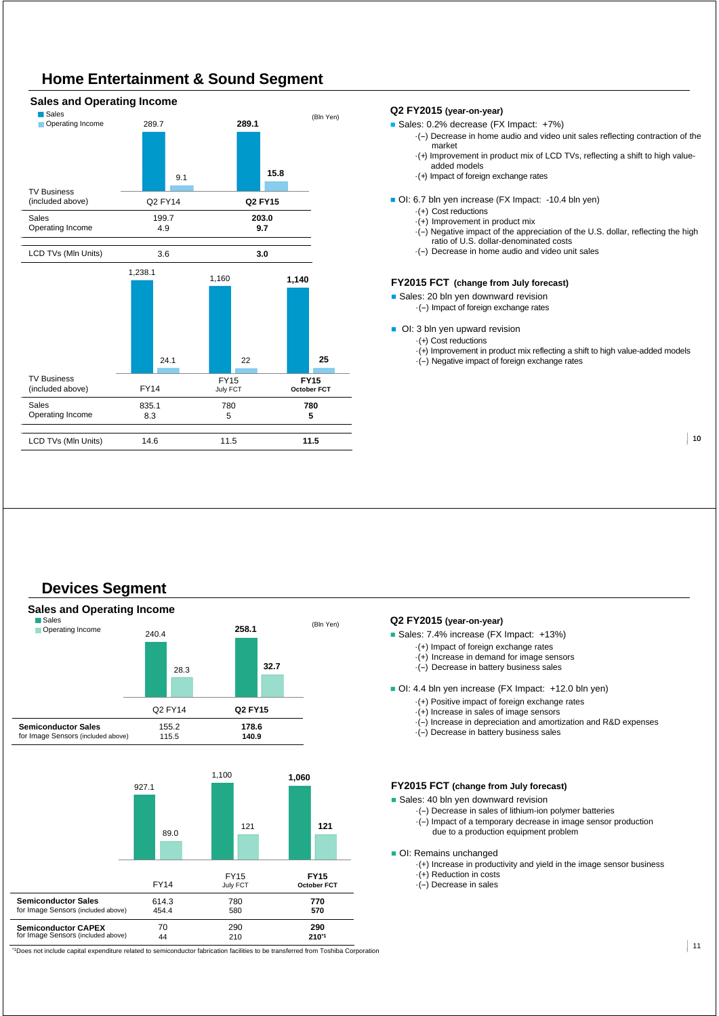# **Home Entertainment & Sound Segment**

#### TV Business (included above) Q2 FY14 **Q2 FY15** Sales Operating Income 199.7 4.9 **203.0 9.7** LCD TVs (Mln Units) 3.6 **3.0 Sales and Operating Income** Sales (Bln Yen) Operating Income TV Business (included above) FY14 FY15 July FCT **FY15 October FCT** Sales Operating Income 835.1 8.3 780 5 **780 5** LCD TVs (Mln Units) 14.6 11.5 **11.5** 1,238.1 1,160 **1,140** 24.1 22 **25** 289.7 **289.1** 9.1 **15.8**

#### **Q2 FY2015 (year-on-year)**

- Sales: 0.2% decrease (FX Impact: +7%)
	- ·(--) Decrease in home audio and video unit sales reflecting contraction of the market
	- ·(+) Improvement in product mix of LCD TVs, reflecting a shift to high valueadded models
	- ·(+) Impact of foreign exchange rates
- OI: 6.7 bln yen increase (FX Impact: -10.4 bln yen)
	- ·(+) Cost reductions
	- ·(+) Improvement in product mix
	- $\cdot$ (-) Negative impact of the appreciation of the U.S. dollar, reflecting the high ratio of U.S. dollar-denominated costs
	- ·(--) Decrease in home audio and video unit sales

#### **FY2015 FCT (change from July forecast)**

- Sales: 20 bln yen downward revision
	- ·(--) Impact of foreign exchange rates
- OI: 3 bln yen upward revision
	- ·(+) Cost reductions
	- $\cdot$ (+) Improvement in product mix reflecting a shift to high value-added models
	- ·(--) Negative impact of foreign exchange rates

 $|10$ 

# **Devices Segment**



#### **Q2 FY2015 (year-on-year)**

- Sales: 7.4% increase (FX Impact: +13%)
	- ·(+) Impact of foreign exchange rates
		- $\cdot$ (+) Increase in demand for image sensors
	- $\cdot$ (-) Decrease in battery business sales

OI: 4.4 bln yen increase (FX Impact: +12.0 bln yen)

- ·(+) Positive impact of foreign exchange rates
- ·(+) Increase in sales of image sensors
- $\cdot$ (-) Increase in depreciation and amortization and R&D expenses
- $\cdot$ (-) Decrease in battery business sales

#### **FY2015 FCT (change from July forecast)**

Sales: 40 bln yen downward revision

- ·(--) Decrease in sales of lithium-ion polymer batteries
- ·(--) Impact of a temporary decrease in image sensor production due to a production equipment problem
- OI: Remains unchanged
	- ·(+) Increase in productivity and yield in the image sensor business
	- ·(+) Reduction in costs
	- $\cdot$ (-) Decrease in sales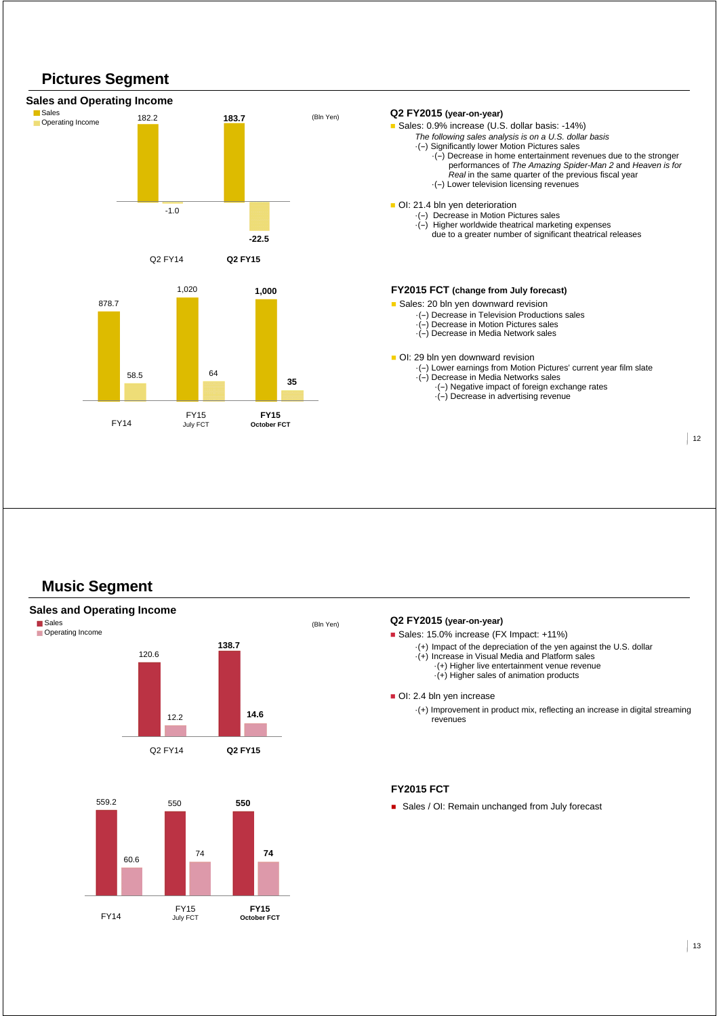



### **Music Segment**



### **Q2 FY2015 (year-on-year)** Sales: 15.0% increase (FX Impact: +11%) ·(+) Impact of the depreciation of the yen against the U.S. dollar ·(+) Increase in Visual Media and Platform sales ·(+) Higher live entertainment venue revenue ·(+) Higher sales of animation products OI: 2.4 bln yen increase ·(+) Improvement in product mix, reflecting an increase in digital streaming revenues

#### **FY2015 FCT**

Sales / OI: Remain unchanged from July forecast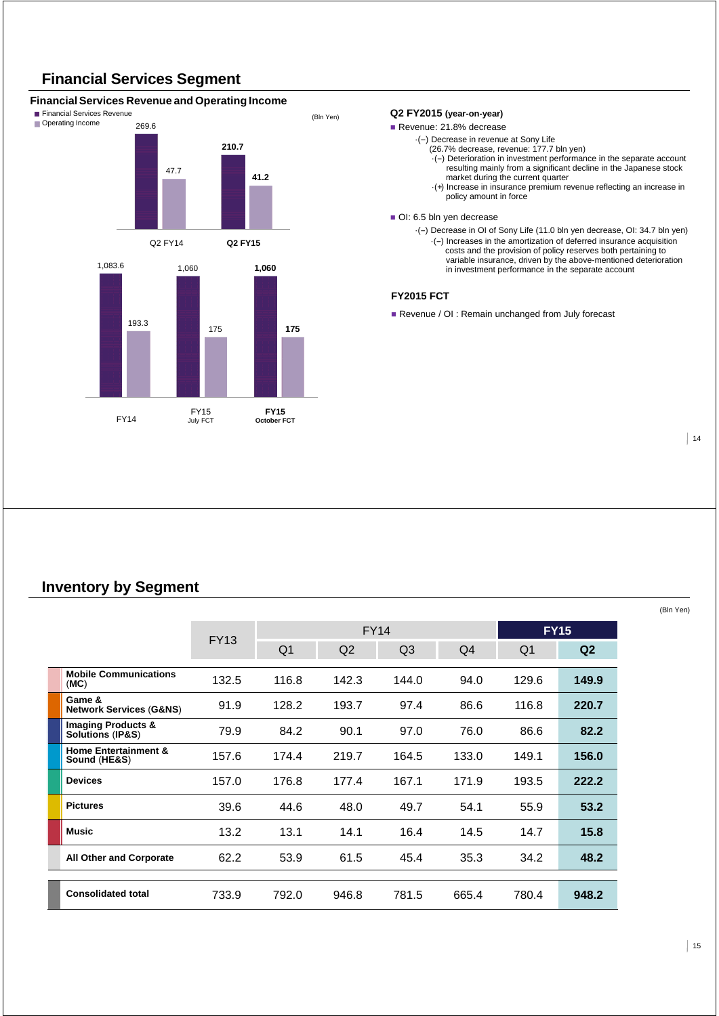# **Financial Services Segment**

### **Financial Services Revenue and Operating Income**



#### **Q2 FY2015 (year-on-year)**

Revenue: 21.8% decrease

- ·(--) Decrease in revenue at Sony Life
	- (26.7% decrease, revenue: 177.7 bln yen)
	- $\cdot$ (-) Deterioration in investment performance in the separate account resulting mainly from a significant decline in the Japanese stock
	- market during the current quarter ·(+) Increase in insurance premium revenue reflecting an increase in policy amount in force

#### OI: 6.5 bln yen decrease

·(--) Decrease in OI of Sony Life (11.0 bln yen decrease, OI: 34.7 bln yen) ·(--) Increases in the amortization of deferred insurance acquisition costs and the provision of policy reserves both pertaining to variable insurance, driven by the above-mentioned deterioration in investment performance in the separate account

#### **FY2015 FCT**

Revenue / OI : Remain unchanged from July forecast

 $|14$ 

(Bln Yen)

### **Inventory by Segment**

|                                                    |             |                |                | <b>FY14</b>    |       |                | <b>FY15</b> |
|----------------------------------------------------|-------------|----------------|----------------|----------------|-------|----------------|-------------|
|                                                    | <b>FY13</b> | Q <sub>1</sub> | Q <sub>2</sub> | Q <sub>3</sub> | Q4    | Q <sub>1</sub> | Q2          |
| <b>Mobile Communications</b><br>(MC)               | 132.5       | 116.8          | 142.3          | 144.0          | 94.0  | 129.6          | 149.9       |
| Game &<br><b>Network Services (G&amp;NS)</b>       | 91.9        | 128.2          | 193.7          | 97.4           | 86.6  | 116.8          | 220.7       |
| <b>Imaging Products &amp; Solutions (IP&amp;S)</b> | 79.9        | 84.2           | 90.1           | 97.0           | 76.0  | 86.6           | 82.2        |
| <b>Home Entertainment &amp;</b><br>Sound (HE&S)    | 157.6       | 174.4          | 219.7          | 164.5          | 133.0 | 149.1          | 156.0       |
| <b>Devices</b>                                     | 157.0       | 176.8          | 177.4          | 167.1          | 171.9 | 193.5          | 222.2       |
| <b>Pictures</b>                                    | 39.6        | 44.6           | 48.0           | 49.7           | 54.1  | 55.9           | 53.2        |
| Music                                              | 13.2        | 13.1           | 14.1           | 16.4           | 14.5  | 14.7           | 15.8        |
| <b>All Other and Corporate</b>                     | 62.2        | 53.9           | 61.5           | 45.4           | 35.3  | 34.2           | 48.2        |
| <b>Consolidated total</b>                          | 733.9       | 792.0          | 946.8          | 781.5          | 665.4 | 780.4          | 948.2       |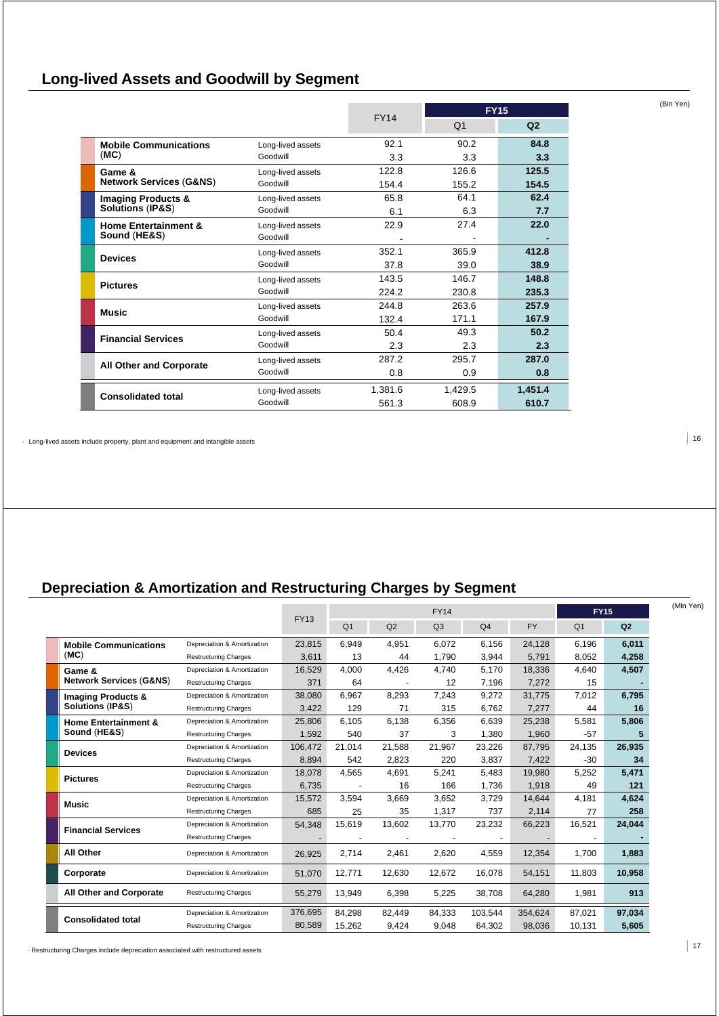# **Long-lived Assets and Goodwill by Segment**

|                                                              |                   |             | <b>FY15</b>    |                |  |
|--------------------------------------------------------------|-------------------|-------------|----------------|----------------|--|
|                                                              |                   | <b>FY14</b> | Q <sub>1</sub> | Q <sub>2</sub> |  |
| <b>Mobile Communications</b>                                 | Long-lived assets | 92.1        | 90.2           | 84.8           |  |
| (MC)                                                         | Goodwill          | 3.3         | 3.3            | 3.3            |  |
| Game &                                                       | Long-lived assets | 122.8       | 126.6          | 125.5          |  |
| <b>Network Services (G&amp;NS)</b>                           | Goodwill          | 154.4       | 155.2          | 154.5          |  |
| <b>Imaging Products &amp;</b><br><b>Solutions (IP&amp;S)</b> | Long-lived assets | 65.8        | 64.1           | 62.4           |  |
|                                                              | Goodwill          | 6.1         | 6.3            | 7.7            |  |
| <b>Home Entertainment &amp;</b><br>Sound (HE&S)              | Long-lived assets | 22.9        | 27.4           | 22.0           |  |
|                                                              | Goodwill          |             |                |                |  |
| <b>Devices</b>                                               | Long-lived assets | 352.1       | 365.9          | 412.8          |  |
|                                                              | Goodwill          | 37.8        | 39.0           | 38.9           |  |
| <b>Pictures</b>                                              | Long-lived assets | 143.5       | 146.7          | 148.8          |  |
|                                                              | Goodwill          | 224.2       | 230.8          | 235.3          |  |
| <b>Music</b>                                                 | Long-lived assets | 244.8       | 263.6          | 257.9          |  |
|                                                              | Goodwill          | 132.4       | 171.1          | 167.9          |  |
| <b>Financial Services</b>                                    | Long-lived assets | 50.4        | 49.3           | 50.2           |  |
|                                                              | Goodwill          | 2.3         | 2.3            | 2.3            |  |
| <b>All Other and Corporate</b>                               | Long-lived assets | 287.2       | 295.7          | 287.0          |  |
|                                                              | Goodwill          | 0.8         | 0.9            | 0.8            |  |
|                                                              | Long-lived assets | 1,381.6     | 1,429.5        | 1,451.4        |  |
| <b>Consolidated total</b>                                    | Goodwill          | 561.3       | 608.9          | 610.7          |  |

· Long-lived assets include property, plant and equipment and intangible assets

# **Depreciation & Amortization and Restructuring Charges by Segment**

|                                    |                              |             | <b>FY14</b>    |        |                | <b>FY15</b>    | (Mln Yen) |                |                |  |
|------------------------------------|------------------------------|-------------|----------------|--------|----------------|----------------|-----------|----------------|----------------|--|
|                                    |                              | <b>FY13</b> | Q <sub>1</sub> | Q2     | Q <sub>3</sub> | Q <sub>4</sub> | <b>FY</b> | Q <sub>1</sub> | Q <sub>2</sub> |  |
| <b>Mobile Communications</b>       | Depreciation & Amortization  | 23,815      | 6,949          | 4,951  | 6,072          | 6,156          | 24,128    | 6,196          | 6,011          |  |
| (MC)                               | <b>Restructuring Charges</b> | 3,611       | 13             | 44     | 1.790          | 3,944          | 5,791     | 8,052          | 4,258          |  |
| Game &                             | Depreciation & Amortization  | 16.529      | 4,000          | 4,426  | 4,740          | 5,170          | 18,336    | 4,640          | 4,507          |  |
| <b>Network Services (G&amp;NS)</b> | <b>Restructuring Charges</b> | 371         | 64             |        | 12             | 7,196          | 7,272     | 15             |                |  |
| <b>Imaging Products &amp;</b>      | Depreciation & Amortization  | 38,080      | 6.967          | 8,293  | 7.243          | 9,272          | 31.775    | 7,012          | 6,795          |  |
| Solutions (IP&S)                   | <b>Restructuring Charges</b> | 3,422       | 129            | 71     | 315            | 6,762          | 7,277     | 44             | 16             |  |
| <b>Home Entertainment &amp;</b>    | Depreciation & Amortization  | 25.806      | 6,105          | 6,138  | 6,356          | 6,639          | 25,238    | 5,581          | 5,806          |  |
| Sound (HE&S)                       | <b>Restructuring Charges</b> | 1.592       | 540            | 37     | 3              | 1.380          | 1,960     | $-57$          | 5              |  |
| <b>Devices</b>                     | Depreciation & Amortization  | 106,472     | 21,014         | 21.588 | 21,967         | 23,226         | 87.795    | 24,135         | 26,935         |  |
|                                    | <b>Restructuring Charges</b> | 8,894       | 542            | 2,823  | 220            | 3,837          | 7,422     | $-30$          | 34             |  |
| <b>Pictures</b>                    | Depreciation & Amortization  | 18.078      | 4,565          | 4,691  | 5,241          | 5,483          | 19.980    | 5,252          | 5,471          |  |
|                                    | <b>Restructuring Charges</b> | 6.735       |                | 16     | 166            | 1,736          | 1,918     | 49             | 121            |  |
| Music                              | Depreciation & Amortization  | 15.572      | 3,594          | 3,669  | 3,652          | 3,729          | 14,644    | 4,181          | 4,624          |  |
|                                    | <b>Restructuring Charges</b> | 685         | 25             | 35     | 1,317          | 737            | 2,114     | 77             | 258            |  |
| <b>Financial Services</b>          | Depreciation & Amortization  | 54,348      | 15,619         | 13,602 | 13,770         | 23,232         | 66,223    | 16,521         | 24,044         |  |
|                                    | <b>Restructuring Charges</b> |             |                |        |                |                |           |                |                |  |
| <b>All Other</b>                   | Depreciation & Amortization  | 26,925      | 2,714          | 2,461  | 2,620          | 4,559          | 12,354    | 1.700          | 1,883          |  |
| Corporate                          | Depreciation & Amortization  | 51,070      | 12,771         | 12.630 | 12.672         | 16,078         | 54,151    | 11,803         | 10,958         |  |
| <b>All Other and Corporate</b>     | <b>Restructuring Charges</b> | 55,279      | 13,949         | 6,398  | 5,225          | 38,708         | 64,280    | 1,981          | 913            |  |
| <b>Consolidated total</b>          | Depreciation & Amortization  | 376,695     | 84,298         | 82.449 | 84,333         | 103,544        | 354,624   | 87,021         | 97,034         |  |
|                                    | <b>Restructuring Charges</b> | 80,589      | 15.262         | 9.424  | 9,048          | 64,302         | 98.036    | 10,131         | 5,605          |  |

<sup>17</sup> · Restructuring Charges include depreciation associated with restructured assets

 $|16$ 

(Bln Yen)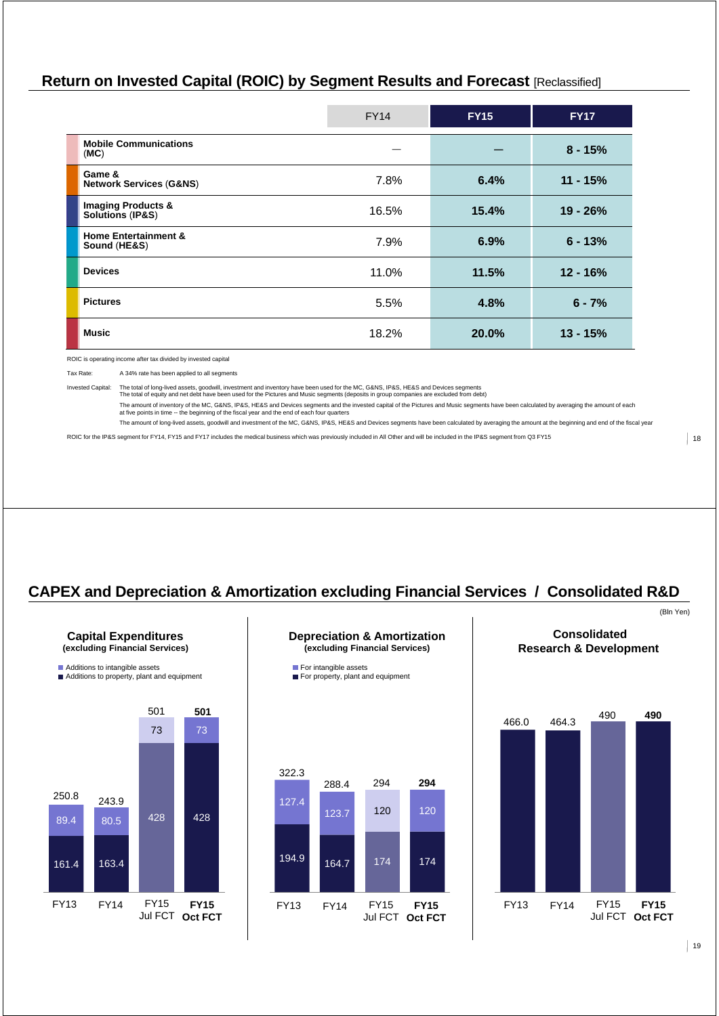## **Return on Invested Capital (ROIC) by Segment Results and Forecast** [Reclassified]

|                                                    | <b>FY14</b> | <b>FY15</b> | <b>FY17</b> |
|----------------------------------------------------|-------------|-------------|-------------|
| <b>Mobile Communications</b><br>(MC)               |             |             | $8 - 15%$   |
| Game &<br><b>Network Services (G&amp;NS)</b>       | 7.8%        | 6.4%        | $11 - 15%$  |
| <b>Imaging Products &amp; Solutions (IP&amp;S)</b> | 16.5%       | 15.4%       | $19 - 26%$  |
| <b>Home Entertainment &amp;</b><br>Sound (HE&S)    | 7.9%        | 6.9%        | $6 - 13%$   |
| <b>Devices</b>                                     | 11.0%       | 11.5%       | $12 - 16%$  |
| <b>Pictures</b>                                    | 5.5%        | 4.8%        | $6 - 7%$    |
| <b>Music</b>                                       | 18.2%       | 20.0%       | $13 - 15%$  |

ROIC is operating income after tax divided by invested capital

Tax Rate: A 34% rate has been applied to all segments

Invested Capital: The total of long-lived assets, goodwill, investment and inventory have been used for the MC, G&NS, IP&S, HE&S and Devices segments<br>The total of equity and net debt have been used for the Pictures and Mus The amount of inventory of the MC, G&NS, IP&S, HE&S and Devices segments and the invested capital of the Pictures and Music segments have been calculated by averaging the amount of each<br>at five points in time ⊶ the beginn

The amount of long-lived assets, goodwill and investment of the MC, G&NS, IP&S, HE&S and Devices segments have been calculated by averaging the amount at the beginning and end of the fiscal year

ROIC for the IP&S segment for FY14, FY15 and FY17 includes the medical business which was previously included in All Other and will be included in the IP&S segment from Q3 FY15

(Bln Yen)

# **CAPEX and Depreciation & Amortization excluding Financial Services / Consolidated R&D**



**Capital Expenditures** 









**Consolidated**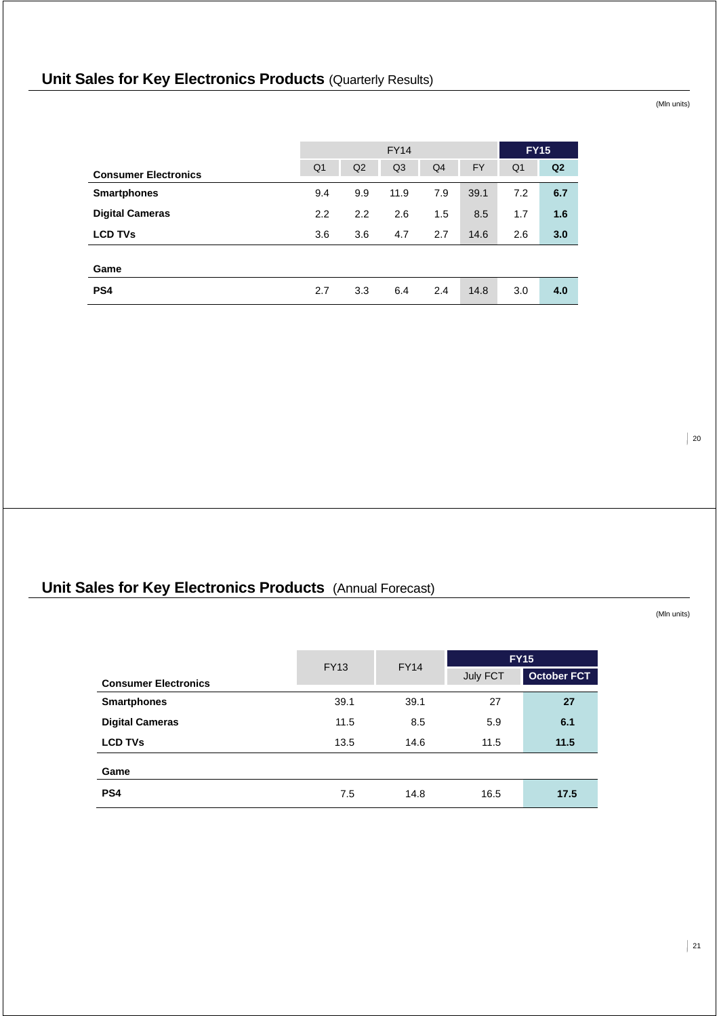# **Unit Sales for Key Electronics Products (Quarterly Results)**

FY14 **FY15 Consumer Electronics** Q1 Q2 Q3 Q4 FY Q1 **Q2 Smartphones** 9.4 9.9 11.9 7.9 39.1 7.2 **6.7 Digital Cameras** 2.2 2.2 2.6 1.5 8.5 1.7 **1.6 LCD TVs** 3.6 3.6 4.7 2.7 14.6 2.6 **3.0 Game PS4** 2.7 3.3 6.4 2.4 14.8 3.0 **4.0**

# **Unit Sales for Key Electronics Products** (Annual Forecast)

(Mln units)

 $\vert$  20

|                             | <b>FY13</b> |                         |      | <b>FY15</b>        |
|-----------------------------|-------------|-------------------------|------|--------------------|
| <b>Consumer Electronics</b> |             | <b>FY14</b><br>July FCT |      | <b>October FCT</b> |
| <b>Smartphones</b>          | 39.1        | 39.1                    | 27   | 27                 |
| <b>Digital Cameras</b>      | 11.5        | 8.5                     | 5.9  | 6.1                |
| <b>LCD TVs</b>              | 13.5        | 14.6                    | 11.5 | 11.5               |
| Game                        |             |                         |      |                    |
| PS <sub>4</sub>             | 7.5         | 14.8                    | 16.5 | 17.5               |

(Mln units)